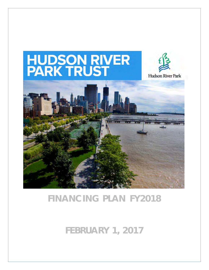

# **FINANCING PLAN FY2018**

**FEBRUARY 1, 2017**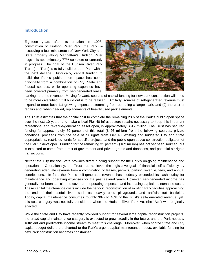## **Introduction**

Eighteen years after its creation in 1998, construction of Hudson River Park (the Park) – occupying a four mile stretch of New York City and State property along Manhattan's Hudson River edge – is approximately 77% complete or currently in progress. The goal of the Hudson River Park Trust (the Trust) is to fully build out the Park within the next decade. Historically, capital funding to build the Park's public open space has come principally from a combination of City, State and federal sources, while operating expenses have been covered primarily from self-generated lease,



parking, and fee revenue. Moving forward, sources of capital funding for new park construction will need to be more diversified if full build out is to be realized. Similarly, sources of self-generated revenue must expand to meet both: (1) growing expenses stemming from operating a larger park, and (2) the cost of repairs and, when needed, replacements of heavily used park elements.

The Trust estimates that the capital cost to complete the remaining 23% of the Park's public open space over the next 10 years, and make critical Pier 40 infrastructure repairs necessary to keep this important recreational and revenue-generating asset open, is approximately \$617 million. The Trust has secured funding for approximately 69 percent of this total (\$426 million) from the following sources: private donations, proceeds from the sale of air rights from Pier 40, existing and budgeted City and State appropriations, restricted funds for specific projects, and the public open space construction obligation of the Pier 57 developer. Funding for the remaining 31 percent (\$189 million) has not yet been sourced, but is expected to come from a mix of government and private grants and donations, and potential air rights transactions.

Neither the City nor the State provides direct funding support for the Park's on-going maintenance and operations. Operationally, the Trust has achieved the legislative goal of financial self-sufficiency by generating adequate revenue from a combination of leases, permits, parking revenue, fees, and annual contributions. In fact, the Park's self-generated revenue has modestly exceeded its cash outlay for maintenance and operating expenses for the past several years. However, self-generated income has generally not been sufficient to cover both operating expenses and increasing capital maintenance costs. These capital maintenance costs include the periodic reconstruction of existing Park facilities approaching the end of their useful lives, such as heavily used playgrounds and artificial turf ballfields. Today, capital maintenance consumes roughly 30% to 40% of the Trust's self-generated revenue; yet, this cost category was not fully considered when the Hudson River Park Act (the "Act") was originally enacted.

While the State and City have recently provided support for several large capital reconstruction projects, the broad capital maintenance category is expected to grow steadily in the future; and the Park needs a sufficient and predictable income stream to meet this challenge. Moreover, when scarce State and City capital budget dollars are diverted to the Park's urgent capital maintenance needs, available funding for new Park construction becomes constrained.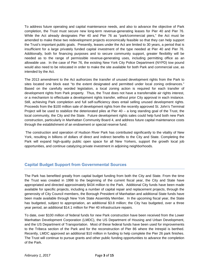To address future operating and capital maintenance needs, and also to advance the objective of Park completion, the Trust must secure new long-term revenue-generating leases for Pier 40 and Pier 76. While the Act already designates Pier 40 and Pier 76 as "park/commercial piers," the Act must be amended to make these two redevelopment projects economically feasible so that they can help support the Trust's important public goals. Presently, leases under the Act are limited to 30 years, a period that is insufficient for a large privately funded capital investment of the type needed at Pier 40 and Pier 76. Additionally, both for financing purposes and to secure community support, greater flexibility will be needed as to the range of permissible revenue-generating uses, including permitting office as an allowable use. In the case of Pier 76, the existing New York City Police Department (NYPD) tow pound would also need to be relocated in order to make the site available for both Park and commercial use, as intended by the Act.

The 2013 amendment to the Act authorizes the transfer of unused development rights from the Park to sites located one block east "to the extent designated and permitted under local zoning ordinances." Based on the carefully worded legislation, a local zoning action is required for each transfer of development rights from Park property. Thus, the Trust does not have a transferrable air rights interest, or a mechanism to effectuate a development rights transfer, without prior City approval in each instance. Still, achieving Park completion and full self-sufficiency does entail selling unused development rights. Proceeds from the \$100 million sale of development rights from the recently approved St. John's Terminal Project will be used to stabilize the deteriorated piles at Pier 40 – a long standing goal of the Trust, the local community, the City and the State. Future development rights sales could help fund both new Park construction, particularly in Manhattan Community Board 4, and address future capital maintenance costs through the establishment of an endowment or special reserve fund.

 The construction and operation of Hudson River Park has contributed significantly to the vitality of New York, resulting in billions of dollars of direct and indirect benefits to the City and State. Completing the Park will expand high-quality public open space for all New Yorkers, support the growth local job opportunities, and continue catalyzing private investment in adjoining neighborhoods.

# **Capital Budget Support from Governmental Sources**

The Park has benefited greatly from capital budget funding from both the City and State. From the time the Trust was created in 1998 to the beginning of the current fiscal year, the City and State have appropriated and directed approximately \$434 million to the Park. Additional City funds have been made available for specific projects, including a number of capital repair and replacement projects, through the generosity of City Council members, the Borough President of Manhattan and additional State funds have been made available through New York State Assembly Member. In the upcoming fiscal year, the State has budgeted, subject to appropriation, an additional \$3.8 million; the City has budgeted, over a three year period, an additional \$14.1 million for Pier 40 infrastructure repairs.

To date, over \$100 million of federal funds for new Park construction have been received from the Lower Manhattan Development Corporation (LMDC), the US Department of Housing and Urban Development, and the US Department of Transportation. Most of these federal funds have been used for improvements to the Tribeca section of the Park and for the reconstruction of Pier 86 where the Intrepid is berthed. Recently, LMDC approved an additional \$10 million in funding to help complete the Pier 26 park finishes. The Trust will continue to pursue grants and other public funding opportunities to advance the completion of the Park.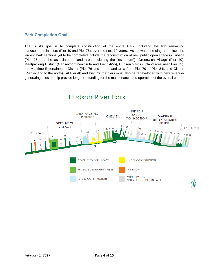## **Park Completion Goal**

The Trust's goal is to complete construction of the entire Park, including the two remaining park/commercial piers (Pier 40 and Pier 76), over the next 10 years. As shown in the diagram below, the largest Park sections yet to be completed include the reconstruction of new public open space in Tribeca (Pier 26 and the associated upland area, including the "estuarium"), Greenwich Village (Pier 40), Meatpacking District (Gansevoort Peninsula and Pier 54/55), Hudson Yards (upland area near Pier 72), the Maritime Entertainment District (Pier 76 and the upland area from Pier 79 to Pier 84), and Clinton (Pier 97 and to the north). At Pier 40 and Pier 76, the piers must also be redeveloped with new revenuegenerating uses to help provide long term funding for the maintenance and operation of the overall park.

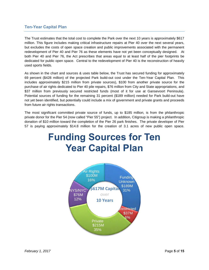## **Ten-Year Capital Plan**

The Trust estimates that the total cost to complete the Park over the next 10 years is approximately \$617 million. This figure includes making critical infrastructure repairs at Pier 40 over the next several years, but excludes the costs of open space creation and public improvements associated with the permanent redevelopment of Pier 40 and Pier 76 as these elements have not yet been conceptually designed. At both Pier 40 and Pier 76, the Act prescribes that areas equal to at least half of the pier footprints be dedicated for public open space. Central to the redevelopment of Pier 40 is the reconstruction of heavily used sports fields.

As shown in the chart and sources & uses table below, the Trust has secured funding for approximately 69 percent (\$428 million) of the projected Park build-out cost under the Ten-Year Capital Plan. This includes approximately \$215 million from private sources), \$100 from another private source for the purchase of air rights dedicated to Pier 40 pile repairs, \$76 million from City and State appropriations, and \$37 million from previously secured restricted funds (most of it for use at Gansevoort Peninsula). Potential sources of funding for the remaining 31 percent (\$189 million) needed for Park build-out have not yet been identified, but potentially could include a mix of government and private grants and proceeds from future air rights transactions.

The most significant committed private source of funds, up to \$185 million, is from the philanthropic private donor for the Pier 54 (now called "Pier 55") project. In addition, Citigroup is making a philanthropic donation of \$10 million toward the completion of the Pier 26 park finishes. The private developer of Pier 57 is paying approximately \$14.8 million for the creation of 3.1 acres of new public open space.

# **Funding Sources for Ten Year Capital Plan**

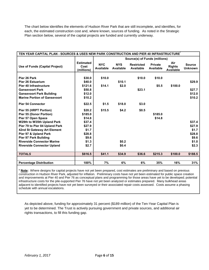The chart below identifies the elements of Hudson River Park that are still incomplete, and identifies, for each, the estimated construction cost and, where known, sources of funding. As noted in the Strategic Plan section below, several of the capital projects are funded and currently underway.

| TEN YEAR CAPITAL PLAN - SOURCES & USES NEW PARK CONSTRUCTION AND PIER 40 INFRASTRUCTURE |                                        |                               |                         |                                |                             |                                          |                                 |
|-----------------------------------------------------------------------------------------|----------------------------------------|-------------------------------|-------------------------|--------------------------------|-----------------------------|------------------------------------------|---------------------------------|
|                                                                                         |                                        | Source(s) of Funds (millions) |                         |                                |                             |                                          |                                 |
| Use of Funds (Capital Project)                                                          | <b>Estimated</b><br>Cost<br>(millions) | <b>NYC</b><br>Available       | <b>NYS</b><br>Available | <b>Restricted</b><br>Available | <b>Private</b><br>Available | Air<br><b>Rights</b><br><b>Available</b> | <b>Source</b><br><b>Unknown</b> |
|                                                                                         |                                        |                               |                         |                                |                             |                                          |                                 |
| Pier 26 Park                                                                            | \$30.0                                 | \$10.0                        |                         | \$10.0                         | \$10.0                      |                                          |                                 |
| <b>Pier 26 Estuarium</b>                                                                | \$40.0                                 |                               | \$10.1                  |                                |                             |                                          | \$29.9                          |
| Pier 40 Infrastructure                                                                  | \$121.6                                | \$14.1                        | \$2.0                   |                                | \$5.5                       | \$100.0                                  |                                 |
| <b>Gansevoort Park</b>                                                                  | \$50.8                                 |                               |                         | \$23.1                         |                             |                                          | \$27.7                          |
| <b>Gansevoort Park Building</b>                                                         | \$12.0                                 |                               |                         |                                |                             |                                          | \$12.0                          |
| <b>Marine Portion of Gansevoort</b>                                                     | \$10.2                                 |                               |                         |                                |                             |                                          | \$10.2                          |
| <b>Pier 54 Connector</b>                                                                | \$22.5                                 | \$1.5                         | \$18.0                  | \$3.0                          |                             |                                          |                                 |
| Pier 55 (HRPT Portion)                                                                  | \$20.2                                 | \$15.5                        | \$4.2                   | \$0.5                          |                             |                                          |                                 |
| <b>Pier 55 (Donor Portion)</b>                                                          | \$185.0                                |                               |                         |                                | \$185.0                     |                                          |                                 |
| Pier 57 Open Space                                                                      | \$14.8                                 |                               |                         |                                | \$14.8                      |                                          |                                 |
| W29th to W35th Upland Park                                                              | \$37.4                                 |                               |                         |                                |                             |                                          | \$37.4                          |
| Pier 79 to Pier 84 Upland Park                                                          | \$27.9                                 |                               |                         |                                |                             |                                          | \$27.9                          |
| 42nd St Gateway Art Element                                                             | \$1.7                                  |                               |                         |                                |                             |                                          | \$1.7                           |
| Pier 97 & Upland Park                                                                   | \$28.8                                 |                               |                         |                                |                             |                                          | \$28.8                          |
| <b>Pier 97 Park Building</b>                                                            | \$9.6                                  |                               |                         |                                |                             |                                          | \$9.6                           |
| <b>Riverside Connector Marine</b>                                                       | \$1.3                                  |                               | \$0.2                   |                                |                             |                                          | \$1.0                           |
| <b>Riverside Connector Upland</b>                                                       | \$2.7                                  |                               | \$0.4                   |                                |                             |                                          | \$2.3                           |
|                                                                                         |                                        |                               |                         |                                |                             |                                          |                                 |
| <b>TOTALS</b>                                                                           | \$616.5                                | \$41.1                        | \$34.9                  | \$36.6                         | \$215.3                     | \$100.0                                  | \$188.5                         |
|                                                                                         |                                        |                               |                         |                                |                             |                                          |                                 |
| <b>Percentage Distribution</b>                                                          | 100%                                   | 7%                            | 6%                      | 6%                             | 35%                         | 16%                                      | 31%                             |

**\* Note:** Where designs for capital projects have not yet been prepared, cost estimates are preliminary and based on previous construction in Hudson River Park, adjusted for inflation. Preliminary costs have not yet been estimated for public space creation and improvements at Pier 40 and Pier 76 as conceptual plans and programming for those areas have yet to be developed; potential infrastructure costs for the pile-supported Pier 76 have not yet been analyzed or estimates prepared. Many bulkhead areas adjacent to identified projects have not yet been surveyed or their associated repair costs assessed. Costs assume a phasing schedule with annual escalations.

As depicted above, funding for approximately 31 percent (\$189 million) of the Ten-Year Capital Plan is yet to be determined. The Trust is actively pursuing government and private sources, and additional air rights transactions, to fill this funding gap.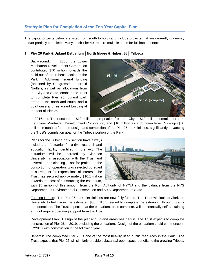# **Strategic Plan for Completion of the Ten Year Capital Plan**

The capital projects below are listed from south to north and include projects that are currently underway and/or partially complete. Many, such Pier 40, require multiple steps for full implementation.

#### **1. Pier 26 Park & Upland Estuarium │North Moore & Hubert St │ Tribeca**

Background: In 2006, the Lower Manhattan Development Corporation contributed \$70 million towards the build-out of the Tribeca section of the Park. Additional federal funding (obtained by Congressman Jerrold Nadler), as well as allocations from the City and State, enabled the Trust to complete Pier 25, upland park areas to the north and south, and a boathouse and restaurant building at the foot of Pier 26.



In 2016, the Trust secured a \$10 million appropriation from the City, a \$10 million commitment from the Lower Manhattan Development Corporation, and \$10 million as a donation from Citigroup (\$30 million in total) to fund the design and completion of the Pier 26 park finishes, significantly advancing the Trust's completion goal for the Tribeca portion of the Park.

Plans for the Tribeca park section have always included an "estuarium" – a river research and education facility identified in the Act. The estuarium will be operated by Clarkson University, in association with the Trust and several participating not-for-profits. The consortium of operators was selected pursuant to a Request for Expressions of Interest. The Trust has secured approximately \$10.1 million towards the cost of constructing the estuarium,



with \$5 million of this amount from the Port Authority of NY/NJ and the balance from the NYS Department of Environmental Conservation and NYS Department of State.

Funding Needs: The Pier 26 park pier finishes are now fully funded. The Trust will look to Clarkson University to help raise the estimated \$30 million needed to complete the estuarium through grants and donations. The Trust expects that the estuarium, once complete, will be financially self-sustaining and not require operating support from the Trust.

Development Plan: Design of the pier and upland areas has begun. The Trust expects to complete construction of Pier 26 in 2019, excluding the estuarium. Design of the estuarium could commence in FY2018 with construction in the following year.

Benefits: The completed Pier 25 is one of the most heavily used public resources in the Park. The Trust expects that Pier 26 will similarly provide substantial open space benefits to the growing Tribeca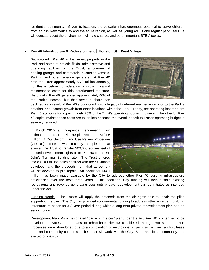residential community. Given its location, the estuarium has enormous potential to serve children from across New York City and the entire region, as well as young adults and regular park users. It will educate about the environment, climate change, and other important STEM topics.

#### **2. Pier 40 Infrastructure & Redevelopment │ Houston St │ West Village**

Background: Pier 40 is the largest property in the Park and home to athletic fields, administrative and operating facilities of the Trust, a commercial parking garage, and commercial excursion vessels. Parking and other revenue generated at Pier 40 nets the Trust approximately \$5.9 million annually, but this is before consideration of growing capital maintenance costs for this deteriorated structure. Historically, Pier 40 generated approximately 40% of the Park's income, but that revenue share has



declined as a result of Pier 40's poor condition, a legacy of deferred maintenance prior to the Park's creation, and income growth from other locations within the Park. Today, net operating income from Pier 40 accounts for approximately 25% of the Trust's operating budget. However, when the full Pier 40 capital maintenance costs are taken into account, the overall benefit to Trust's operating budget is severely reduced.

In March 2015, an independent engineering firm estimated the cost of Pier 40 pile repairs at \$104.6 million. A City Uniform Land Use Review Procedure (ULURP) process was recently completed that allowed the Trust to transfer 200,000 square feet of unused development rights from Pier 40 to the St. John's Terminal Building site. The Trust entered into a \$100 million sales contract with the St. John's developer and the proceeds from that agreement will be devoted to pile repair. An additional \$14.1



million has been made available by the City to address other Pier 40 building infrastructure deficiencies over the next three years. This additional City funding will help sustain existing recreational and revenue generating uses until private redevelopment can be initiated as intended under the Act.

Funding Needs**:** The Trust's will apply the proceeds from the air rights sale to repair the piles supporting the pier. The City has provided supplemental funding to address other emergent building infrastructure needs for a 3-year period during which a long-term private redevelopment plan can be set in motion.

Development Plan: As a designated "park/commercial" pier under the Act, Pier 40 is intended to be developed privately. Prior plans to rehabilitate Pier 40 considered through two separate RFP processes were abandoned due to a combination of restrictions on permissible uses, a short lease term and community concerns. The Trust will work with the City, State and local community and elected officials to: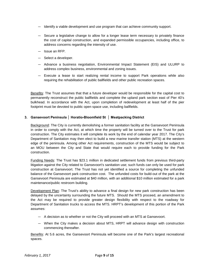- Identify a viable development and use program that can achieve community support.
- Secure a legislative change to allow for a longer lease term necessary to privately finance the cost of capital construction, and expanded permissible occupancies, including office, to address concerns regarding the intensity of use.
- Issue an RFP.
- Select a developer.
- Advance a business negotiation, Environmental Impact Statement (EIS) and ULURP to address complex business, environmental and zoning issues.
- Execute a lease to start realizing rental income to support Park operations while also requiring the rehabilitation of public ballfields and other public recreation spaces.

Benefits: The Trust assumes that that a future developer would be responsible for the capital cost to permanently reconstruct the public ballfields and complete the upland park section east of Pier 40's bulkhead. In accordance with the Act, upon completion of redevelopment at least half of the pier footprint must be devoted to public open space use, including ballfields.

#### **3. Gansevoort Peninsula │ Horatio-Bloomfield St │ Meatpacking District**

Background: The City is currently demolishing a former sanitation facility at the Gansevoort Peninsula in order to comply with the Act, at which time the property will be turned over to the Trust for park construction. The City estimates it will complete its work by the end of calendar year 2017. The City's Department of Sanitation may then elect to build a new marine transfer station (MTS) at the western edge of the peninsula. Among other Act requirements, construction of the MTS would be subject to an MOU between the City and State that would require each to provide funding for the Park construction.

Funding Needs: The Trust has \$23.1 million in dedicated settlement funds from previous third-party litigation against the City related to Gansevoort's sanitation use; such funds can only be used for park construction at Gansevoort. The Trust has not yet identified a source for completing the unfunded balance of the Gansevoort park construction cost. The unfunded costs for build-out of the park at the Gansevoort Peninsula are estimated at \$40 million, with an additional \$10 million estimated for a park maintenance/public restroom building.

Development Plan: The Trust's ability to advance a final design for new park construction has been delayed by the uncertainty surrounding the future MTS. Should the MTS proceed, an amendment to the Act may be required to provide greater design flexibility with respect to the roadway for Department of Sanitation trucks to access the MTS. HRPT's development of this portion of the Park assumes:

- A decision as to whether or not the City will proceed with an MTS at Gansevoort.
- When the City makes a decision about MTS, HRPT will advance design with construction commencing thereafter.

Benefits: At 5.6 acres, the Gansevoort Peninsula will become one of the Park's largest recreational spaces.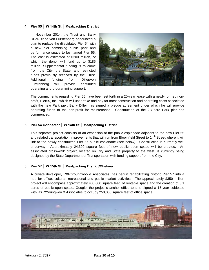#### **4. Pier 55 │ W 14th St │ Meatpacking District**

In November 2014, the Trust and Barry Diller/Diane von Furstenberg announced a plan to replace the dilapidated Pier 54 with a new pier combining public park and performance space to be named Pier 55. The cost is estimated at \$200 million, of which the donor will fund up to \$185 million. Supplemental funding is to come from the City, the State, and restricted funds previously received by the Trust. Additional funding from Diller/von Furstenberg will provide continued operating and programming support.



The commitments regarding Pier 55 have been set forth in a 20-year lease with a newly formed nonprofit, Pier55, Inc., which will undertake and pay for most construction and operating costs associated with the new Park pier. Barry Diller has signed a pledge agreement under which he will provide operating funds to the non-profit for maintenance. Construction of the 2.7-acre Park pier has commenced.

#### **5. Pier 54 Connector │ W 14th St │ Meatpacking District**

This separate project consists of an expansion of the public esplanade adjacent to the new Pier 55 and related transportation improvements that will run from Bloomfield Street to 14<sup>th</sup> Street where it will link to the newly constructed Pier 57 public esplanade (see below). Construction is currently well underway. Approximately 24,300 square feet of new public open space will be created. An associated cross-walk project, located on City and State property to the west, is currently being designed by the State Department of Transportation with funding support from the City.

#### **6. Pier 57 │ W 15th St │ Meatpacking District/Chelsea**

A private developer, RXR/Youngwoo & Associates, has begun rehabilitating historic Pier 57 into a hub for office, cultural, recreational and public market activities. The approximately \$350 million project will encompass approximately 480,000 square feet of rentable space and the creation of 3.1 acres of public open space. Google, the project's anchor office tenant, signed a 15-year sublease with RXR/Youngwoo & Associates to occupy 250,000 square feet of office space.

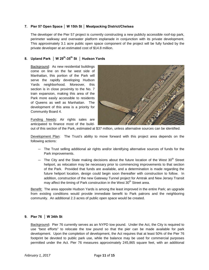#### **7. Pier 57 Open Space │ W 15th St │ Meatpacking District/Chelsea**

The developer of the Pier 57 project is currently constructing a new publicly accessible roof-top park, perimeter walkway and overwater platform esplanade in conjunction with its private development. This approximately 3.1 acre public open space component of the project will be fully funded by the private developer at an estimated cost of \$14.8 million.

## **8. Upland Park │ W 29th-35th St │ Hudson Yards**

Background: As new residential buildings come on line on the far west side of Manhattan, this portion of the Park will serve the rapidly developing Hudson Yards neighborhood. Moreover, this section is in close proximity to the No. 7 train expansion, making this area of the Park more easily accessible to residents of Queens as well as Manhattan. The development of this area is a priority for Community Board 4.



Funding Needs: Air rights sales are anticipated to finance most of the build-

out of this section of the Park, estimated at \$37 million, unless alternative sources can be identified.

Development Plan: The Trust's ability to move forward with this project area depends on the following actions:

- The Trust selling additional air rights and/or identifying alternative sources of funds for the Park improvements.
- The City and the State making decisions about the future location of the West  $30<sup>th</sup>$  Street heliport, as relocation may be necessary prior to commencing improvements to that section of the Park. Provided that funds are available, and a determination is made regarding the future heliport location, design could begin soon thereafter with construction to follow. In addition, construction of the new Gateway Tunnel project for Amtrak and New Jersey Transit may affect the timing of Park construction in the West 30<sup>th</sup> Street area.

Benefit: The area opposite Hudson Yards is among the least improved in the entire Park; an upgrade from existing conditions would provide immediate benefit to Park patrons and the neighboring community. An additional 2.3 acres of public open space would be created.

#### **9. Pier 76 │ W 34th St**

Background**:** Pier 76 currently serves as an NYPD tow pound. Under the Act, the City is required to use "best efforts" to relocate the tow pound so that the pier can be made available for park development. Upon the completion of development, the Act requires that at least 50% of the Pier 76 footprint be devoted to public park use, while the balance may be used for commercial purposes permitted under the Act. Pier 76 measures approximately 245,865 square feet, with an additional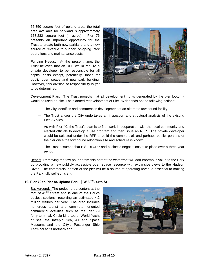55,350 square feet of upland area; the total area available for parkland is approximately 178,282 square feet (4 acres). Pier 76 presents an important opportunity for the Trust to create both new parkland and a new source of revenue to support on-going Park operations and maintenance costs.

Funding Needs**:** At the present time, the Trust believes that an RFP would require a private developer to be responsible for all capital costs except, potentially, those for public open space and new park building. However, this division of responsibility is yet to be determined.



Development Plan**:** The Trust projects that all development rights generated by the pier footprint would be used on-site. The planned redevelopment of Pier 76 depends on the following actions:

- The City identifies and commences development of an alternate tow pound facility.
- The Trust and/or the City undertakes an inspection and structural analysis of the existing Pier 76 piles.
- As with Pier 40, the Trust's plan is to first work in cooperation with the local community and elected officials to develop a use program and then issue an RFP. The private developer would be selected under the RFP to build the commercial, and perhaps public, portions of the pier once the tow pound relocation site and schedule is known.
- The Trust assumes that EIS, ULURP and business negotiations take place over a three year period.
- Benefit: Removing the tow pound from this part of the waterfront will add enormous value to the Park by providing a new publicly accessible open space resource with expansive views to the Hudson River. The commercial portion of the pier will be a source of operating revenue essential to making the Park fully self-sufficient.

#### 10. Pier 79 to Pier 84 Upland Park | W 39<sup>th</sup>- 44th St

Background: The project area centers at the foot of 42<sup>nd</sup> Street and is one of the Park's busiest sections, receiving an estimated 4.2 million visitors per year. The area includes numerous tourist and commuter oriented commercial activities such as the Pier 79 ferry terminal, Circle-Line tours, World Yacht cruises, the Intrepid Sea, Air and Space Museum, and the City's Passenger Ship Terminal at its northern end.

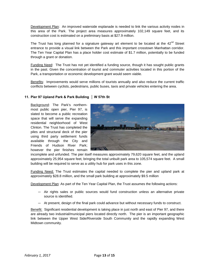Development Plan: An improved waterside esplanade is needed to link the various activity nodes in this area of the Park. The project area measures approximately 102,149 square feet, and its construction cost is estimated on a preliminary basis at \$27.9 million.

The Trust has long planned for a signature gateway art element to be located at the  $42<sup>nd</sup>$  Street entrance to provide a visual link between the Park and this important crosstown Manhattan corridor. The Ten Year Capital Plan has a place holder cost estimate of \$1.7 million, potentially to be funded through a grant or donation.

Funding Need: The Trust has not yet identified a funding source, though it has sought public grants in the past. Given the concentration of tourist and commuter activities located in this portion of the Park, a transportation or economic development grant would seem viable.

Benefits: Improvements would serve millions of tourists annually and also reduce the current traffic conflicts between cyclists, pedestrians, public buses, taxis and private vehicles entering the area.

#### **11. Pier 97 Upland Park & Park Building │ W 57th St**

Background: The Park's northernmost public open pier, Pier 97, is slated to become a public recreation space that will serve the expanding residential neighborhood of West Clinton. The Trust has completed the piles and structural deck of the pier using third party settlement funds available through the City and Friends of Hudson River Park; however the pier finishes remain



incomplete and unfunded. The pier itself measures approximately 79,620 square feet, and the upland approximately 25,954 square feet, bringing the total unbuilt park area to 105,574 square feet. A small building will be required to serve as a utility hub for park uses in this zone.

Funding Need: The Trust estimates the capital needed to complete the pier and upland park at approximately \$28.8 million, and the small park building at approximately \$9.5 million

Development Plan: As part of the Ten Year Capital Plan, the Trust assumes the following actions:

- Air rights sales or public sources would fund construction unless an alternative private source is identified.
- At present, design of the final park could advance but without necessary funds to construct.

Benefit: Significant residential development is taking place in just north and east of Pier 97, and there are already two industrial/municipal piers located directly north. The pier is an important geographic link between the Upper West Side/Riverside South Community and the rapidly expanding West Midtown community.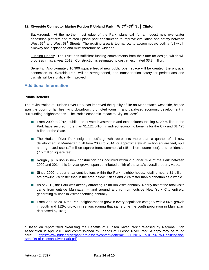#### **12. Riverside Connector Marine Portion & Upland Park │ W 57th-59th St │ Clinton**

Background: At the northernmost edge of the Park, plans call for a modest new over-water pedestrian platform and related upland park construction to improve circulation and safety between West  $57<sup>th</sup>$  and West  $58<sup>th</sup>$  Streets. The existing area is too narrow to accommodate both a full width bikeway and esplanade and must therefore be widened.

Funding Needs: The Trust has sufficient funding commitments from the State for design, which will progress in fiscal year 2018. Construction is estimated to cost an estimated \$3.3 million.

Benefits: Approximately 16,900 square feet of new public open space will be created, the physical connection to Riverside Park will be strengthened, and transportation safety for pedestrians and cyclists will be significantly improved.

### **Additional Information**

#### **Public Benefits**

The revitalization of Hudson River Park has improved the quality of life on Manhattan's west side, helped spur the boom of families living downtown, promoted tourism, and catalyzed economic development in surrounding neighborhoods. The Park's economic impact to City includes:<sup>[1](#page-13-0)</sup>

- From 2000 to 2015, public and private investments and expenditures totaling \$720 million in the Park have secured more than \$1.121 billion in indirect economic benefits for the City and \$1.425 billion for the State.
- **The Hudson River Park neighborhood's growth represents more than a quarter of all new** development in Manhattan built from 2000 to 2014, or approximately 41 million square feet, split among mixed use (17 million square feet), commercial (15 million square feet), and residential (7.5 million square feet).
- **Roughly \$8 billion in new construction has occurred within a quarter mile of the Park between** 2000 and 2014; this 14-year growth span contributed a fifth of the area's overall property value.
- **Since 2000, property tax contributions within the Park neighborhoods, totaling nearly \$1 billion,** are growing 9% faster than in the area below 59th St and 28% faster than Manhattan as a whole.
- As of 2012, the Park was already attracting 17 million visits annually. Nearly half of the total visits came from outside Manhattan – and around a third from outside New York City entirely, generating millions in visitor spending annually.
- From 2000 to 2014 the Park neighborhoods grew in every population category with a 66% growth in youth and 112% growth in seniors (during that same time the youth population in Manhattan decreased by 10%).

l

<span id="page-13-0"></span>Based on report titled "Realizing the Benefits of Hudson River Park," released by Regional Plan Association in April 2016 and commissioned by Friends of Hudson River Park. A copy may be found here: [https://www.hudsonriverpark.org/assets/content/general/03.30.2016\\_FoHRP-RPA-Realizing-the-](https://www.hudsonriverpark.org/assets/content/general/03.30.2016_FoHRP-RPA-Realizing-the-Benefits-of-Hudson-River-Park.pdf)[Benefits-of-Hudson-River-Park.pdf](https://www.hudsonriverpark.org/assets/content/general/03.30.2016_FoHRP-RPA-Realizing-the-Benefits-of-Hudson-River-Park.pdf)